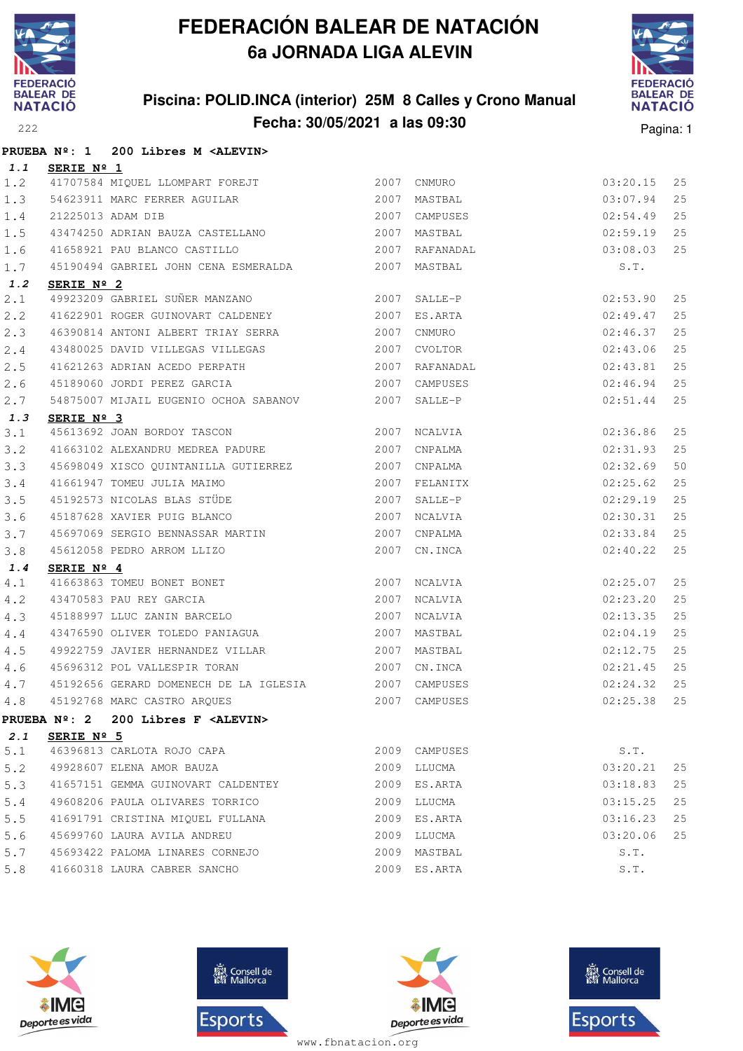

## **Piscina: POLID.INCA (interior) 25M 8 Calles y Crono Manual Fecha: 30/05/2021 a las 09:30** Pagina: 1



|       |                     | PRUEBA Nº: 1 200 Libres M <alevin></alevin>                                                                                                    |               |          |    |
|-------|---------------------|------------------------------------------------------------------------------------------------------------------------------------------------|---------------|----------|----|
|       | 1.1 SERIE Nº 1      |                                                                                                                                                |               |          |    |
| 1.2   |                     | 41707584 MIQUEL LLOMPART FOREJT                                                                                                                | 2007 CNMURO   | 03:20.15 | 25 |
| 1.3   |                     | 54623911 MARC FERRER AGUILAR 2007 MASTBAL                                                                                                      |               | 03:07.94 | 25 |
| $1.4$ |                     | 21225013 ADAM DIB                                                                                                                              | 2007 CAMPUSES | 02:54.49 | 25 |
| 1.5   |                     |                                                                                                                                                |               |          | 25 |
| 1.6   |                     |                                                                                                                                                |               |          | 25 |
| 1.7   |                     | 45190494 GABRIEL JOHN CENA ESMERALDA 2007 MASTBAL                                                                                              |               | S.T.     |    |
| 1.2   | SERIE Nº 2          |                                                                                                                                                |               |          |    |
| 2.1   |                     | 49923209 GABRIEL SUÑER MANZANO<br>2007 SALLE-P                                                                                                 |               | 02:53.90 | 25 |
| 2.2   |                     | 41622901 ROGER GUINOVART CALDENEY                                                                                                              | 2007 ES.ARTA  | 02:49.47 | 25 |
| 2.3   |                     | 46390814 ANTONI ALBERT TRIAY SERRA 2007 CNMURO                                                                                                 |               | 02:46.37 | 25 |
| 2.4   |                     | 43480025 DAVID VILLEGAS VILLEGAS 2007 CVOLTOR                                                                                                  |               | 02:43.06 | 25 |
| 2.5   |                     | 41621263 ADRIAN ACEDO PERPATH 2007 RAFANADAL                                                                                                   |               | 02:43.81 | 25 |
| 2.6   |                     | 45189060 JORDI PEREZ GARCIA                                                                                                                    | 2007 CAMPUSES | 02:46.94 | 25 |
| 2.7   |                     | 54875007 MIJAIL EUGENIO OCHOA SABANOV 2007 SALLE-P                                                                                             |               | 02:51.44 | 25 |
| 1.3   | SERIE Nº 3          |                                                                                                                                                |               |          |    |
| 3.1   |                     | 45613692 JOAN BORDOY TASCON 2007 NCALVIA                                                                                                       |               | 02:36.86 | 25 |
| 3.2   |                     | 41663102 ALEXANDRU MEDREA PADURE 2007                                                                                                          | CNPALMA       | 02:31.93 | 25 |
| 3.3   |                     | 45698049 XISCO QUINTANILLA GUTIERREZ 2007 CNPALMA                                                                                              |               | 02:32.69 | 50 |
| 3.4   |                     | 41661947 TOMEU JULIA MAIMO<br>45192573 NICOLAS BLAS STÜDE 1989 1989 1989 1989 2007 SALLE-P                                                     |               | 02:25.62 | 25 |
| 3.5   |                     |                                                                                                                                                |               | 02:29.19 | 25 |
| 3.6   |                     | 45187628 XAVIER PUIG BLANCO 2007 NCALVIA                                                                                                       |               | 02:30.31 | 25 |
| 3.7   |                     | 45697069 SERGIO BENNASSAR MARTIN 2007 CNPALMA                                                                                                  |               | 02:33.84 | 25 |
| 3.8   |                     | 45612058 PEDRO ARROM LLIZO                                                                                                                     | 2007 CN.INCA  | 02:40.22 | 25 |
| 1.4   | SERIE Nº 4          |                                                                                                                                                |               |          |    |
| 4.1   |                     |                                                                                                                                                | 2007 NCALVIA  | 02:25.07 | 25 |
| 4.2   |                     | 41663863 TOMEU BONET BONET<br>43470583 PAU REY GARCIA<br>45188997 LLUC ZANIN BARCELO                                                           | 2007 NCALVIA  | 02:23.20 | 25 |
| 4.3   |                     |                                                                                                                                                | 2007 NCALVIA  | 02:13.35 | 25 |
| 4.4   |                     |                                                                                                                                                |               | 02:04.19 | 25 |
| 4.5   |                     | 49922759 JAVIER HERNANDEZ VILLAR 2007 MASTBAL                                                                                                  |               | 02:12.75 | 25 |
| 4.6   |                     | 45696312 POL VALLESPIR TORAN 2007 CN.INCA<br>45192656 GERARD DOMENECH DE LA IGLESIA 2007 CAMPUSES<br>45192768 MARC CASTRO ARQUES 2007 CAMPUSES |               | 02:21.45 | 25 |
| 4.7   |                     |                                                                                                                                                |               | 02:24.32 | 25 |
| 4.8   |                     |                                                                                                                                                |               | 02:25.38 | 25 |
|       |                     | PRUEBA Nº: 2 200 Libres F <alevin></alevin>                                                                                                    |               |          |    |
| 2.1   | SERIE $N^{\circ}$ 5 | 46396813 CARLOTA ROJO CAPA                                                                                                                     |               | S.T.     |    |
| 5.1   |                     |                                                                                                                                                | 2009 CAMPUSES |          |    |
| 5.2   |                     | 49928607 ELENA AMOR BAUZA                                                                                                                      | 2009 LLUCMA   | 03:20.21 | 25 |
| 5.3   |                     | 41657151 GEMMA GUINOVART CALDENTEY                                                                                                             | 2009 ES.ARTA  | 03:18.83 | 25 |
| 5.4   |                     | 49608206 PAULA OLIVARES TORRICO                                                                                                                | 2009 LLUCMA   | 03:15.25 | 25 |
| 5.5   |                     | 41691791 CRISTINA MIQUEL FULLANA                                                                                                               | 2009 ES.ARTA  | 03:16.23 | 25 |
| 5.6   |                     | 45699760 LAURA AVILA ANDREU                                                                                                                    | 2009 LLUCMA   | 03:20.06 | 25 |
| 5.7   |                     | 45693422 PALOMA LINARES CORNEJO                                                                                                                | 2009 MASTBAL  | S.T.     |    |
| 5.8   |                     | 41660318 LAURA CABRER SANCHO                                                                                                                   | 2009 ES.ARTA  | S.T.     |    |







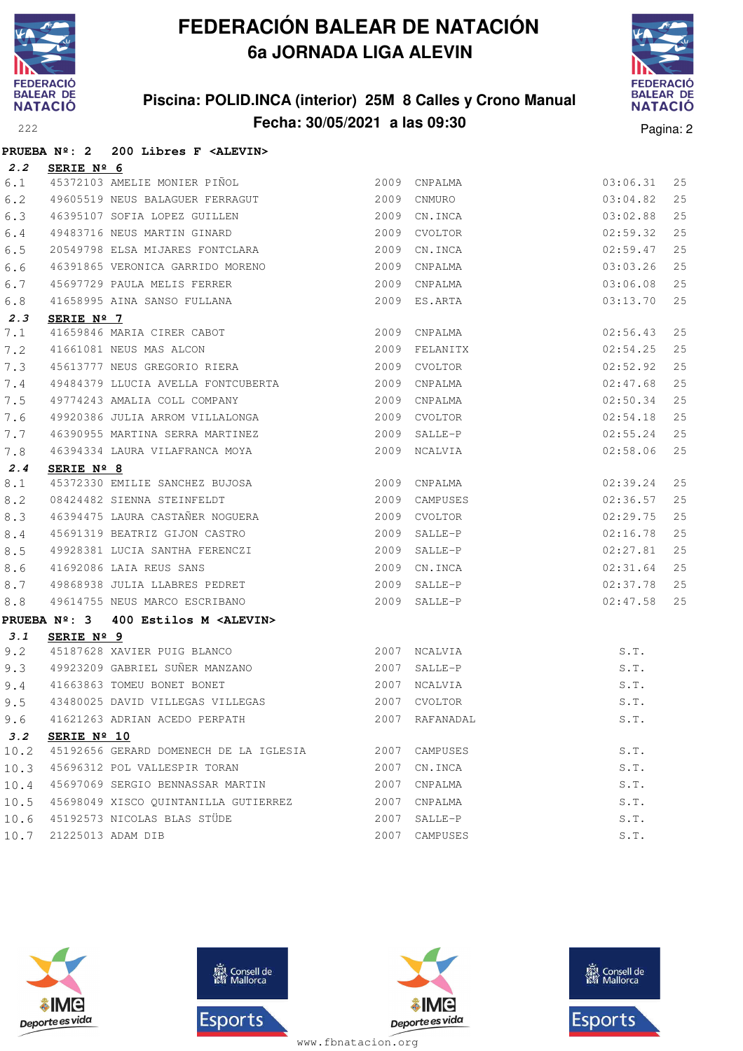

## **Piscina: POLID.INCA (interior) 25M 8 Calles y Crono Manual Fecha: 30/05/2021 a las 09:30** Pagina: 2



|      |                     | PRUEBA Nº: 2 200 Libres F <alevin></alevin>           |      |                |          |    |
|------|---------------------|-------------------------------------------------------|------|----------------|----------|----|
| 2.2  | SERIE Nº 6          |                                                       |      |                |          |    |
| 6.1  |                     | 45372103 AMELIE MONIER PIÑOL                          | 2009 | CNPALMA        | 03:06.31 | 25 |
| 6.2  |                     | 49605519 NEUS BALAGUER FERRAGUT                       | 2009 | CNMURO         | 03:04.82 | 25 |
| 6.3  |                     | 46395107 SOFIA LOPEZ GUILLEN                          | 2009 | CN.INCA        | 03:02.88 | 25 |
| 6.4  |                     | 49483716 NEUS MARTIN GINARD                           |      | 2009 CVOLTOR   | 02:59.32 | 25 |
| 6.5  |                     | 20549798 ELSA MIJARES FONTCLARA                       | 2009 | CN.INCA        | 02:59.47 | 25 |
| 6.6  |                     | 46391865 VERONICA GARRIDO MORENO                      | 2009 | CNPALMA        | 03:03.26 | 25 |
| 6.7  |                     | 45697729 PAULA MELIS FERRER                           | 2009 | CNPALMA        | 03:06.08 | 25 |
| 6.8  |                     | 41658995 AINA SANSO FULLANA                           |      | 2009 ES.ARTA   | 03:13.70 | 25 |
| 2.3  | SERIE Nº 7          |                                                       |      |                |          |    |
| 7.1  |                     | 41659846 MARIA CIRER CABOT<br>41661081 NEUS MAS ALCON |      | 2009 CNPALMA   | 02:56.43 | 25 |
| 7.2  |                     |                                                       | 2009 | FELANITX       | 02:54.25 | 25 |
| 7.3  |                     | 45613777 NEUS GREGORIO RIERA 2009                     |      | CVOLTOR        | 02:52.92 | 25 |
| 7.4  |                     | 49484379 LLUCIA AVELLA FONTCUBERTA                    |      | 2009 CNPALMA   | 02:47.68 | 25 |
| 7.5  |                     | 49774243 AMALIA COLL COMPANY                          | 2009 | CNPALMA        | 02:50.34 | 25 |
| 7.6  |                     | 49920386 JULIA ARROM VILLALONGA                       | 2009 | CVOLTOR        | 02:54.18 | 25 |
| 7.7  |                     | 46390955 MARTINA SERRA MARTINEZ                       | 2009 | SALLE-P        | 02:55.24 | 25 |
| 7.8  |                     | 46394334 LAURA VILAFRANCA MOYA                        |      | 2009 NCALVIA   | 02:58.06 | 25 |
| 2.4  | SERIE $N^{\circ}$ 8 |                                                       |      |                |          |    |
| 8.1  |                     | 45372330 EMILIE SANCHEZ BUJOSA 2009                   |      | CNPALMA        | 02:39.24 | 25 |
| 8.2  |                     | $2009$<br>08424482 SIENNA STEINFELDT                  |      | CAMPUSES       | 02:36.57 | 25 |
| 8.3  |                     | 46394475 LAURA CASTAÑER NOGUERA (2009) CVOLTOR        |      |                | 02:29.75 | 25 |
| 8.4  |                     | 45691319 BEATRIZ GIJON CASTRO                         |      | 2009 SALLE-P   | 02:16.78 | 25 |
| 8.5  |                     | 49928381 LUCIA SANTHA FERENCZI                        | 2009 | SALLE-P        | 02:27.81 | 25 |
| 8.6  |                     | 41692086 LAIA REUS SANS                               | 2009 | CN.INCA        | 02:31.64 | 25 |
| 8.7  |                     | 49868938 JULIA LLABRES PEDRET                         | 2009 | SALLE-P        | 02:37.78 | 25 |
| 8.8  |                     | 49614755 NEUS MARCO ESCRIBANO                         |      | 2009 SALLE-P   | 02:47.58 | 25 |
|      |                     | PRUEBA Nº: 3 400 Estilos M <alevin></alevin>          |      |                |          |    |
| 3.1  | SERIE Nº 9          |                                                       |      |                |          |    |
| 9.2  |                     |                                                       |      |                | S.T.     |    |
| 9.3  |                     |                                                       |      |                | S.T.     |    |
| 9.4  |                     |                                                       |      |                | S.T.     |    |
| 9.5  |                     | 43480025 DAVID VILLEGAS VILLEGAS 2007 CVOLTOR         |      |                | S.T.     |    |
| 9.6  |                     | 41621263 ADRIAN ACEDO PERPATH                         |      | 2007 RAFANADAL | S.T.     |    |
| 3.2  | SERIE Nº 10         |                                                       |      |                |          |    |
| 10.2 |                     | 45192656 GERARD DOMENECH DE LA IGLESIA                |      | 2007 CAMPUSES  | S.T.     |    |
| 10.3 |                     | 45696312 POL VALLESPIR TORAN                          |      | 2007 CN.INCA   | S.T.     |    |
| 10.4 |                     | 45697069 SERGIO BENNASSAR MARTIN                      | 2007 | CNPALMA        | S.T.     |    |
|      |                     | 10.5 45698049 XISCO QUINTANILLA GUTIERREZ             |      | 2007 CNPALMA   | S.T.     |    |
|      |                     | 10.6 45192573 NICOLAS BLAS STÜDE                      |      | 2007 SALLE-P   | S.T.     |    |
| 10.7 |                     | 21225013 ADAM DIB                                     |      | 2007 CAMPUSES  | S.T.     |    |







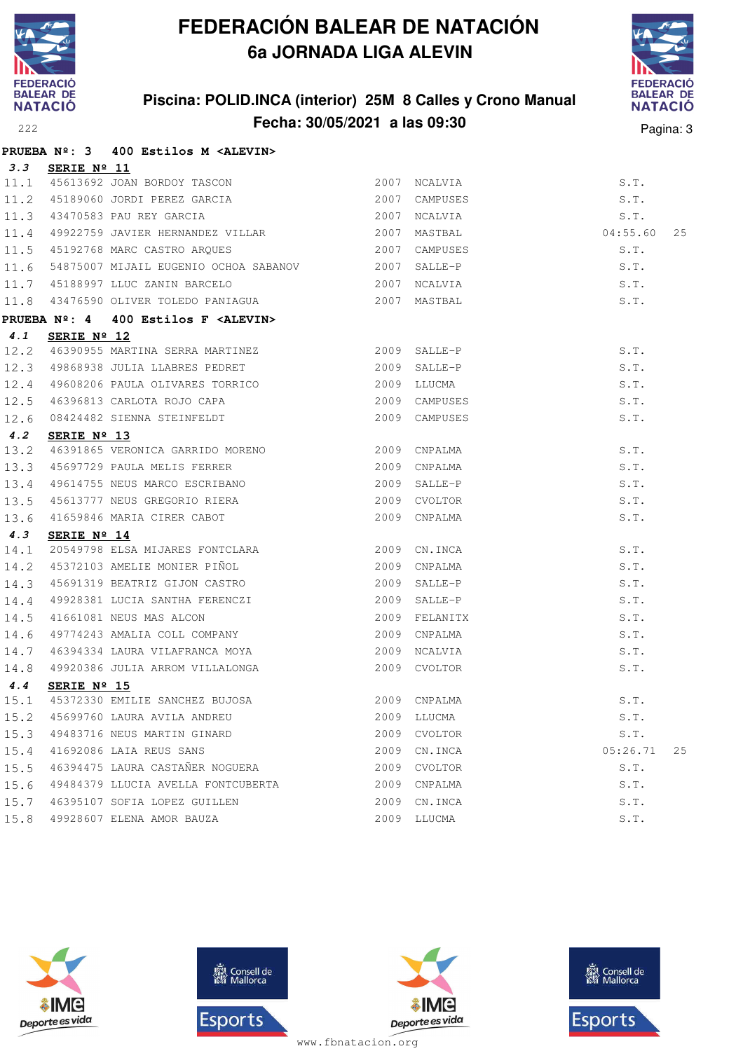

#### **Piscina: POLID.INCA (interior) 25M 8 Calles y Crono Manual Fecha: 30/05/2021 a las 09:30** Pagina: 3



|      |                      | PRUEBA Nº: 3 400 Estilos M <alevin></alevin>                                                                                                 |             |               |                |
|------|----------------------|----------------------------------------------------------------------------------------------------------------------------------------------|-------------|---------------|----------------|
|      | 3.3 SERIE Nº 11      |                                                                                                                                              |             |               |                |
|      |                      |                                                                                                                                              |             |               | S.T.           |
|      |                      |                                                                                                                                              |             | CAMPUSES      | S.T.           |
|      |                      | 11.1 45613692 JOAN BORDOY TASCON 2007 NCALVIA<br>11.2 45189060 JORDI PEREZ GARCIA 2007 CAMPUSES<br>11.3 43470583 PAU REY GARCIA 2007 NCALVIA |             |               | S.T.           |
|      |                      | 11.4 49922759 JAVIER HERNANDEZ VILLAR 2007 MASTBAL                                                                                           |             |               | 04:55.60<br>25 |
|      |                      | 11.5 45192768 MARC CASTRO ARQUES 2007 CAMPUSES                                                                                               |             |               | S.T.           |
|      |                      | 11.6 54875007 MIJAIL EUGENIO OCHOA SABANOV 2007 SALLE-P                                                                                      |             |               | S.T.           |
|      |                      | 11.7 45188997 LLUC ZANIN BARCELO 2007 NCALVIA                                                                                                |             |               | S.T.           |
|      |                      |                                                                                                                                              |             |               | S.T.           |
|      |                      | PRUEBA Nº: 4 400 Estilos F <alevin></alevin>                                                                                                 |             |               |                |
| 4.1  | SERIE $N^{\circ}$ 12 |                                                                                                                                              |             |               |                |
| 12.2 |                      | 46390955 MARTINA SERRA MARTINEZ 2009 SALLE-P                                                                                                 |             |               | S.T.           |
|      |                      | 12.3 49868938 JULIA LLABRES PEDRET 2009 SALLE-P                                                                                              |             |               | S.T.           |
|      |                      | 12.4 49608206 PAULA OLIVARES TORRICO                                                                                                         | 2009 LLUCMA |               | S.T.           |
| 12.5 |                      | 46396813 CARLOTA ROJO CAPA 2009 CAMPUSES                                                                                                     |             |               | S.T.           |
|      |                      | 12.6 08424482 SIENNA STEINFELDT                                                                                                              |             | 2009 CAMPUSES | S.T.           |
| 4.2  | SERIE $N^{\circ}$ 13 |                                                                                                                                              |             |               |                |
| 13.2 |                      |                                                                                                                                              |             |               | S.T.           |
| 13.3 |                      | 96391865 VERONICA GARRIDO MORENO<br>15697729 PAULA MELIS FERRER 2009 CNPALMA                                                                 |             |               | S.T.           |
| 13.4 |                      |                                                                                                                                              |             |               | S.T.           |
| 13.5 |                      |                                                                                                                                              |             | 2009 CVOLTOR  | S.T.           |
| 13.6 |                      | 45613777 NEUS GREGORIO RIERA<br>41659846 MARIA CIRER CABOT                                                                                   |             | 2009 CNPALMA  | S.T.           |
| 4.3  | SERIE Nº 14          |                                                                                                                                              |             |               |                |
| 14.1 |                      | 20549798 ELSA MIJARES FONTCLARA 2009 CN.INCA                                                                                                 |             |               | S.T.           |
| 14.2 |                      | 45372103 AMELIE MONIER PIÑOL (2009)                                                                                                          |             | CNPALMA       | S.T.           |
| 14.3 |                      | 45691319 BEATRIZ GIJON CASTRO                                                                                                                |             | 2009 SALLE-P  | S.T.           |
| 14.4 |                      |                                                                                                                                              |             |               | S.T.           |
| 14.5 |                      |                                                                                                                                              |             | 2009 FELANITX | S.T.           |
| 14.6 |                      |                                                                                                                                              |             |               | S.T.           |
| 14.7 |                      | 46394334 LAURA VILAFRANCA MOYA 2009 NCALVIA                                                                                                  |             |               | S.T.           |
| 14.8 |                      | 49920386 JULIA ARROM VILLALONGA                                                                                                              |             | 2009 CVOLTOR  | S.T.           |
| 4.4  | SERIE Nº 15          |                                                                                                                                              |             |               |                |
| 15.1 |                      | 45372330 EMILIE SANCHEZ BUJOSA                                                                                                               |             | 2009 CNPALMA  | S.T.           |
| 15.2 |                      | 45699760 LAURA AVILA ANDREU                                                                                                                  | 2009        | LLUCMA        | S.T.           |
| 15.3 |                      | 49483716 NEUS MARTIN GINARD                                                                                                                  | 2009        | CVOLTOR       | S.T.           |
| 15.4 |                      | 41692086 LAIA REUS SANS                                                                                                                      | 2009        | CN.INCA       | 05:26.71<br>25 |
| 15.5 |                      | 46394475 LAURA CASTAÑER NOGUERA                                                                                                              | 2009        | CVOLTOR       | S.T.           |
| 15.6 |                      | 49484379 LLUCIA AVELLA FONTCUBERTA                                                                                                           | 2009        | CNPALMA       | S.T.           |
| 15.7 |                      | 46395107 SOFIA LOPEZ GUILLEN                                                                                                                 | 2009        | CN.INCA       | S.T.           |
| 15.8 |                      | 49928607 ELENA AMOR BAUZA                                                                                                                    |             | 2009 LLUCMA   | S.T.           |







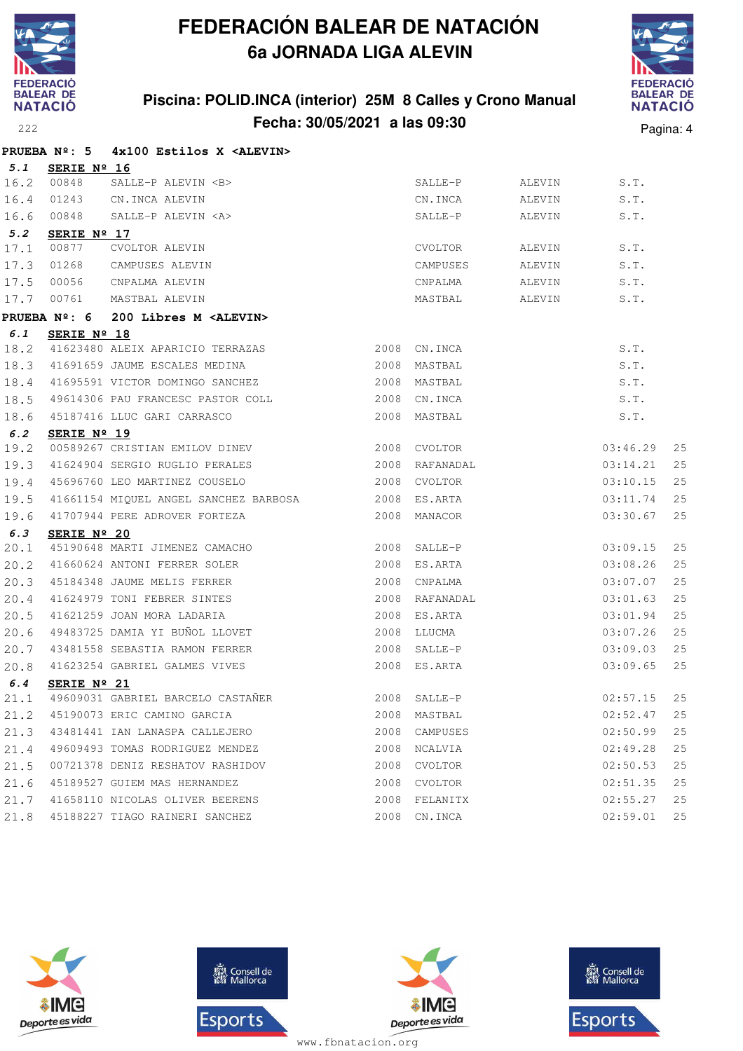

## **Piscina: POLID.INCA (interior) 25M 8 Calles y Crono Manual Fecha: 30/05/2021 a las 09:30** Pagina: 4



|      | PRUEBA $N^{\circ}$ : 5 | 4x100 Estilos X <alevin></alevin>                  |      |                |        |          |    |
|------|------------------------|----------------------------------------------------|------|----------------|--------|----------|----|
| 5.1  | SERIE Nº 16            |                                                    |      |                |        |          |    |
| 16.2 | 00848                  | SALLE-P ALEVIN <b></b>                             |      | SALLE-P        | ALEVIN | S.T.     |    |
| 16.4 | 01243                  | CN.INCA ALEVIN                                     |      | CN.INCA        | ALEVIN | S.T.     |    |
| 16.6 | 00848                  | SALLE-P ALEVIN <a></a>                             |      | SALLE-P        | ALEVIN | S.T.     |    |
| 5.2  | SERIE Nº 17            |                                                    |      |                |        |          |    |
| 17.1 | 00877                  | CVOLTOR ALEVIN                                     |      | CVOLTOR        | ALEVIN | S.T.     |    |
| 17.3 | 01268                  | CAMPUSES ALEVIN                                    |      | CAMPUSES       | ALEVIN | S.T.     |    |
| 17.5 | 00056                  | CNPALMA ALEVIN                                     |      | CNPALMA        | ALEVIN | S.T.     |    |
| 17.7 | 00761                  | MASTBAL ALEVIN                                     |      | MASTBAL        | ALEVIN | S.T.     |    |
|      | PRUEBA $N^{\circ}$ : 6 | 200 Libres M <alevin></alevin>                     |      |                |        |          |    |
| 6.1  | SERIE Nº 18            |                                                    |      |                |        |          |    |
| 18.2 |                        | 41623480 ALEIX APARICIO TERRAZAS 2008 CN.INCA      |      |                |        | S.T.     |    |
| 18.3 |                        | 2008 MASTBAL<br>41691659 JAUME ESCALES MEDINA      |      |                |        | S.T.     |    |
|      |                        | 18.4 41695591 VICTOR DOMINGO SANCHEZ               |      | 2008 MASTBAL   |        | S.T.     |    |
| 18.5 |                        | 49614306 PAU FRANCESC PASTOR COLL 2008 CN.INCA     |      |                |        | S.T.     |    |
| 18.6 |                        | 45187416 LLUC GARI CARRASCO                        |      | 2008 MASTBAL   |        | S.T.     |    |
| 6.2  | SERIE Nº 19            |                                                    |      |                |        |          |    |
| 19.2 |                        | 00589267 CRISTIAN EMILOV DINEV 2008 CVOLTOR        |      |                |        | 03:46.29 | 25 |
| 19.3 |                        | 41624904 SERGIO RUGLIO PERALES                     |      | 2008 RAFANADAL |        | 03:14.21 | 25 |
| 19.4 |                        | 45696760 LEO MARTINEZ COUSELO                      |      | 2008 CVOLTOR   |        | 03:10.15 | 25 |
| 19.5 |                        | 41661154 MIQUEL ANGEL SANCHEZ BARBOSA 2008 ES.ARTA |      |                |        | 03:11.74 | 25 |
| 19.6 |                        | 41707944 PERE ADROVER FORTEZA                      |      | 2008 MANACOR   |        | 03:30.67 | 25 |
| 6.3  | SERIE $N^{\circ}$ 20   |                                                    |      |                |        |          |    |
| 20.1 |                        | 45190648 MARTI JIMENEZ CAMACHO                     |      | 2008 SALLE-P   |        | 03:09.15 | 25 |
| 20.2 |                        | 41660624 ANTONI FERRER SOLER 2008 ES.ARTA          |      |                |        | 03:08.26 | 25 |
| 20.3 |                        | 45184348 JAUME MELIS FERRER                        | 2008 | CNPALMA        |        | 03:07.07 | 25 |
| 20.4 |                        | 41624979 TONI FEBRER SINTES                        |      | 2008 RAFANADAL |        | 03:01.63 | 25 |
| 20.5 |                        | 41621259 JOAN MORA LADARIA                         |      | 2008 ES.ARTA   |        | 03:01.94 | 25 |
| 20.6 |                        | 49483725 DAMIA YI BUÑOL LLOVET                     |      | 2008 LLUCMA    |        | 03:07.26 | 25 |
| 20.7 |                        | 43481558 SEBASTIA RAMON FERRER                     |      | 2008 SALLE-P   |        | 03:09.03 | 25 |
| 20.8 |                        | 41623254 GABRIEL GALMES VIVES                      |      | 2008 ES.ARTA   |        | 03:09.65 | 25 |
| 6.4  | SERIE $N^{\circ}$ 21   |                                                    |      |                |        |          |    |
| 21.1 |                        | 49609031 GABRIEL BARCELO CASTAÑER                  |      | 2008 SALLE-P   |        | 02:57.15 | 25 |
| 21.2 |                        | 45190073 ERIC CAMINO GARCIA                        | 2008 | MASTBAL        |        | 02:52.47 | 25 |
| 21.3 |                        | 43481441 IAN LANASPA CALLEJERO                     | 2008 | CAMPUSES       |        | 02:50.99 | 25 |
| 21.4 |                        | 49609493 TOMAS RODRIGUEZ MENDEZ                    |      | 2008 NCALVIA   |        | 02:49.28 | 25 |
| 21.5 |                        | 00721378 DENIZ RESHATOV RASHIDOV                   |      | 2008 CVOLTOR   |        | 02:50.53 | 25 |
| 21.6 |                        | 45189527 GUIEM MAS HERNANDEZ                       |      | 2008 CVOLTOR   |        | 02:51.35 | 25 |
| 21.7 |                        | 41658110 NICOLAS OLIVER BEERENS                    | 2008 | FELANITX       |        | 02:55.27 | 25 |
| 21.8 |                        | 45188227 TIAGO RAINERI SANCHEZ                     |      | 2008 CN. INCA  |        | 02:59.01 | 25 |







**感** Consell de Esports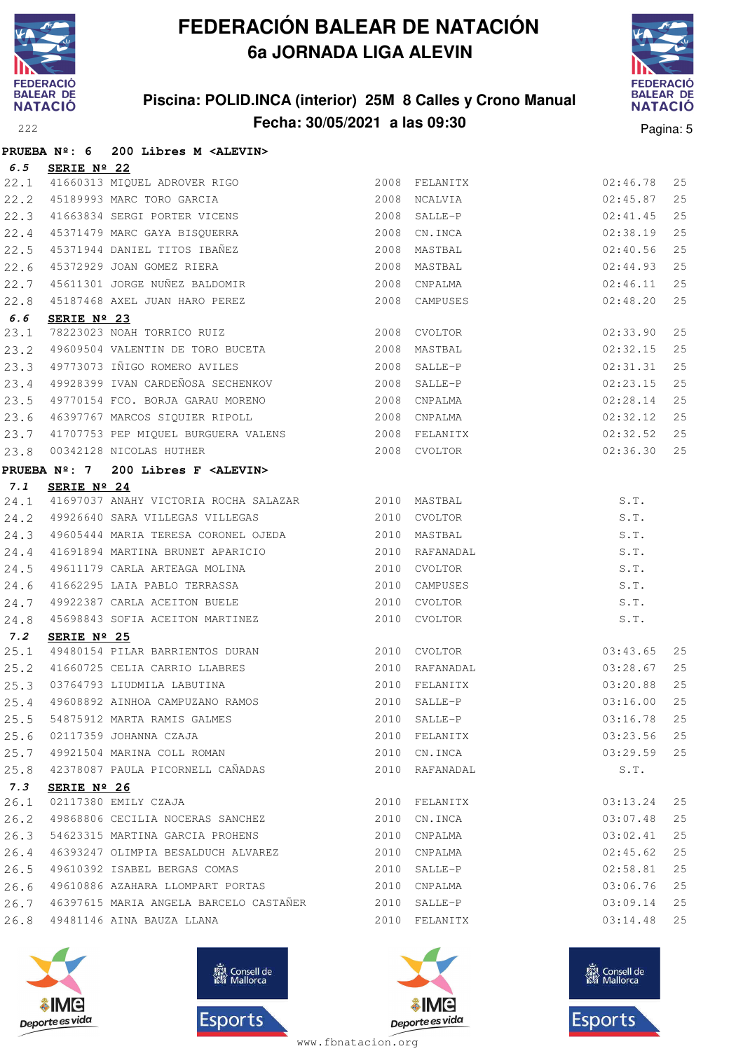

## **Piscina: POLID.INCA (interior) 25M 8 Calles y Crono Manual Fecha: 30/05/2021 a las 09:30** Pagina: 5



|      |             | PRUEBA Nº: 6 200 Libres M <alevin></alevin>                                                |              |                |          |    |
|------|-------------|--------------------------------------------------------------------------------------------|--------------|----------------|----------|----|
| 6.5  | SERIE Nº 22 |                                                                                            |              |                |          |    |
| 22.1 |             | 41660313 MIQUEL ADROVER RIGO                                                               |              | 2008 FELANITX  | 02:46.78 | 25 |
| 22.2 |             |                                                                                            |              |                | 02:45.87 | 25 |
| 22.3 |             | 2008 FELANITX<br>45189993 MARC TORO GARCIA<br>41663834 SERGI PORTER VICENS<br>45271470 :-- |              |                | 02:41.45 | 25 |
| 22.4 |             | 45371479 MARC GAYA BISQUERRA 2008 CN.INCA                                                  |              |                | 02:38.19 | 25 |
| 22.5 |             | 45371944 DANIEL TITOS IBAÑEZ                                                               | 2008 MASTBAL |                | 02:40.56 | 25 |
| 22.6 |             | 45372929 JOAN GOMEZ RIERA                                                                  | 2008 MASTBAL |                | 02:44.93 | 25 |
| 22.7 |             | 45611301 JORGE NUÑEZ BALDOMIR                                                              | 2008 CNPALMA |                | 02:46.11 | 25 |
| 22.8 |             | 45187468 AXEL JUAN HARO PEREZ 2008 CAMPUSES                                                |              |                | 02:48.20 | 25 |
| 6.6  | SERIE Nº 23 |                                                                                            |              |                |          |    |
| 23.1 |             | 78223023 NOAH TORRICO RUIZ                                                                 | 2008 CVOLTOR |                | 02:33.90 | 25 |
| 23.2 |             |                                                                                            |              |                | 02:32.15 | 25 |
| 23.3 |             | 49773073 IÑIGO ROMERO AVILES                                                               | 2008 SALLE-P |                | 02:31.31 | 25 |
| 23.4 |             | 49928399 IVAN CARDEÑOSA SECHENKOV 2008 SALLE-P                                             |              |                | 02:23.15 | 25 |
| 23.5 |             |                                                                                            |              |                | 02:28.14 | 25 |
| 23.6 |             | 46397767 MARCOS SIQUIER RIPOLL 2008 CNPALMA                                                |              |                | 02:32.12 | 25 |
| 23.7 |             | 41707753 PEP MIQUEL BURGUERA VALENS 2008 FELANITX                                          |              |                | 02:32.52 | 25 |
| 23.8 |             | 00342128 NICOLAS HUTHER                                                                    | 2008 CVOLTOR |                | 02:36.30 | 25 |
|      |             | PRUEBA Nº: 7 200 Libres F <alevin></alevin>                                                |              |                |          |    |
| 7.1  | SERIE Nº 24 |                                                                                            |              |                |          |    |
| 24.1 |             | 41697037 ANAHY VICTORIA ROCHA SALAZAR 2010 MASTBAL                                         |              |                | S.T.     |    |
| 24.2 |             | 49926640 SARA VILLEGAS VILLEGAS 2010 CVOLTOR                                               |              |                | S.T.     |    |
| 24.3 |             |                                                                                            |              |                | S.T.     |    |
| 24.4 |             |                                                                                            |              |                | S.T.     |    |
| 24.5 |             | 49611179 CARLA ARTEAGA MOLINA 2010 CVOLTOR                                                 |              |                | S.T.     |    |
| 24.6 |             | 41662295 LAIA PABLO TERRASSA 2010 CAMPUSES                                                 |              |                | S.T.     |    |
| 24.7 |             | 49922387 CARLA ACEITON BUELE 2010 CVOLTOR                                                  |              |                | S.T.     |    |
| 24.8 |             | 45698843 SOFIA ACEITON MARTINEZ                                                            |              | 2010 CVOLTOR   | S.T.     |    |
| 7.2  | SERIE Nº 25 |                                                                                            |              |                |          |    |
| 25.1 |             | 49480154 PILAR BARRIENTOS DURAN 2010 CVOLTOR                                               |              |                | 03:43.65 | 25 |
| 25.2 |             | 41660725 CELIA CARRIO LLABRES 2010 RAFANADAL                                               |              |                | 03:28.67 | 25 |
| 25.3 |             | 03764793 LIUDMILA LABUTINA                                                                 |              | 2010 FELANITX  | 03:20.88 | 25 |
|      |             | 25.4 49608892 AINHOA CAMPUZANO RAMOS 2010 SALLE-P 6 03:16.00 25                            |              |                |          |    |
| 25.5 |             | 54875912 MARTA RAMIS GALMES                                                                |              | 2010 SALLE-P   | 03:16.78 | 25 |
| 25.6 |             | 02117359 JOHANNA CZAJA                                                                     |              | 2010 FELANITX  | 03:23.56 | 25 |
| 25.7 |             | 49921504 MARINA COLL ROMAN                                                                 |              | 2010 CN.INCA   | 03:29.59 | 25 |
| 25.8 |             | 42378087 PAULA PICORNELL CAÑADAS                                                           |              | 2010 RAFANADAL | S.T.     |    |
| 7.3  | SERIE Nº 26 |                                                                                            |              |                |          |    |
| 26.1 |             | 02117380 EMILY CZAJA                                                                       |              | 2010 FELANITX  | 03:13.24 | 25 |
| 26.2 |             | 49868806 CECILIA NOCERAS SANCHEZ                                                           |              | 2010 CN.INCA   | 03:07.48 | 25 |
| 26.3 |             | 54623315 MARTINA GARCIA PROHENS                                                            |              | 2010 CNPALMA   | 03:02.41 | 25 |
| 26.4 |             | 46393247 OLIMPIA BESALDUCH ALVAREZ                                                         |              | 2010 CNPALMA   | 02:45.62 | 25 |
| 26.5 |             | 49610392 ISABEL BERGAS COMAS                                                               |              | 2010 SALLE-P   | 02:58.81 | 25 |
| 26.6 |             | 49610886 AZAHARA LLOMPART PORTAS                                                           |              | 2010 CNPALMA   | 03:06.76 | 25 |
| 26.7 |             | 46397615 MARIA ANGELA BARCELO CASTAÑER 2010 SALLE-P                                        |              |                | 03:09.14 | 25 |
| 26.8 |             | 49481146 AINA BAUZA LLANA                                                                  |              | 2010 FELANITX  | 03:14.48 | 25 |







**感** Consell de Esports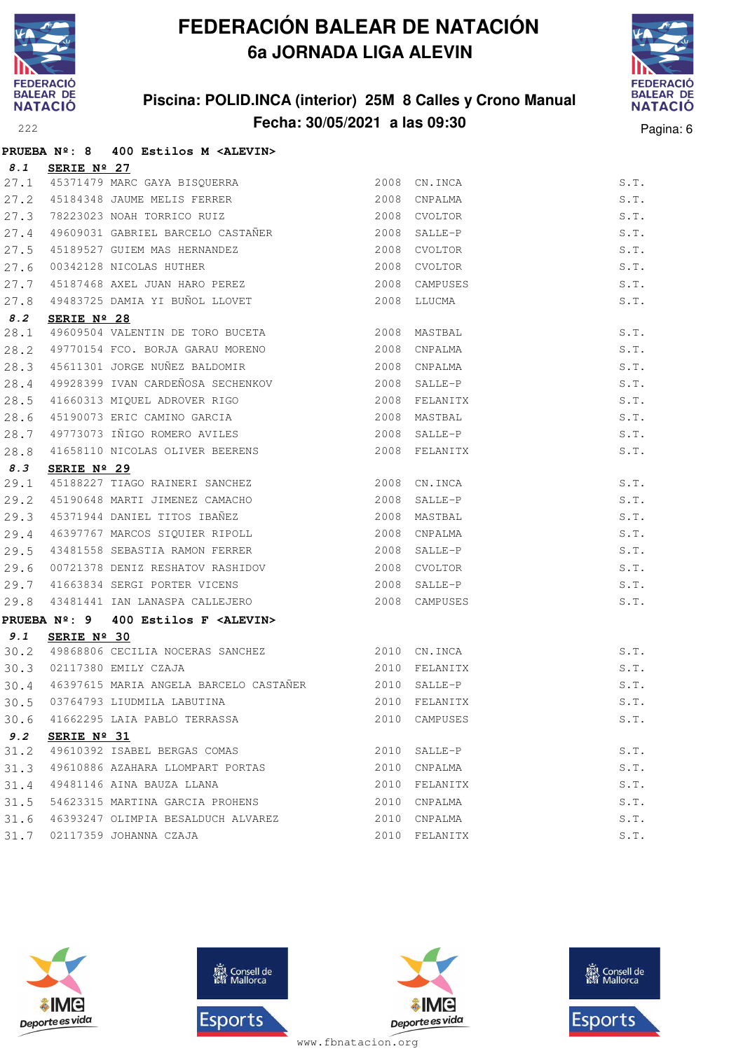

## **Piscina: POLID.INCA (interior) 25M 8 Calles y Crono Manual Fecha: 30/05/2021 a las 09:30** Pagina: 6



|      |             | PRUEBA Nº: 8 400 Estilos M <alevin></alevin>                                                                                                       |      |               |      |
|------|-------------|----------------------------------------------------------------------------------------------------------------------------------------------------|------|---------------|------|
| 8.1  | SERIE Nº 27 |                                                                                                                                                    |      |               |      |
|      |             |                                                                                                                                                    |      | 2008 CN. INCA | S.T. |
|      |             |                                                                                                                                                    | 2008 | CNPALMA       | S.T. |
|      |             | 27.1 45371479 MARC GAYA BISQUERRA<br>27.2 45184348 JAUME MELIS FERRER<br>27.3 78223023 NOAH TORRICO RUIZ<br>27.4 49609031 GABRIEL BARCELO CASTAÑER |      | 2008 CVOLTOR  | S.T. |
|      |             |                                                                                                                                                    |      | 2008 SALLE-P  | S.T. |
| 27.5 |             | 45189527 GUIEM MAS HERNANDEZ                                                                                                                       |      | 2008 CVOLTOR  | S.T. |
| 27.6 |             | 00342128 NICOLAS HUTHER<br>45187468 AXEL JUAN HARO PEREZ                                                                                           | 2008 | CVOLTOR       | S.T. |
| 27.7 |             |                                                                                                                                                    |      | 2008 CAMPUSES | S.T. |
| 27.8 |             | 49483725 DAMIA YI BUÑOL LLOVET<br>---                                                                                                              |      | 2008 LLUCMA   | S.T. |
| 8.2  | SERIE Nº 28 |                                                                                                                                                    |      |               |      |
| 28.1 |             |                                                                                                                                                    |      |               | S.T. |
| 28.2 |             | 49770154 FCO. BORJA GARAU MORENO                                                                                                                   | 2008 | CNPALMA       | S.T. |
| 28.3 |             | 45611301 JORGE NUÑEZ BALDOMIR<br>49928399 IVAN CARDEÑOSA SECHENKOV                                                                                 |      | 2008 CNPALMA  | S.T. |
| 28.4 |             |                                                                                                                                                    |      | 2008 SALLE-P  | S.T. |
| 28.5 |             |                                                                                                                                                    |      |               | S.T. |
| 28.6 |             | 45190073 ERIC CAMINO GARCIA                                                                                                                        |      | 2008 MASTBAL  | S.T. |
| 28.7 |             | 49773073 IÑIGO ROMERO AVILES                                                                                                                       |      | 2008 SALLE-P  | S.T. |
| 28.8 |             | 41658110 NICOLAS OLIVER BEERENS                                                                                                                    |      | 2008 FELANITX | S.T. |
| 8.3  | SERIE Nº 29 |                                                                                                                                                    |      |               |      |
|      |             | 29.1 45188227 TIAGO RAINERI SANCHEZ                                                                                                                | 2008 | CN.INCA       | S.T. |
| 29.2 |             | 45190648 MARTI JIMENEZ CAMACHO                                                                                                                     | 2008 | SALLE-P       | S.T. |
| 29.3 |             | 45371944 DANIEL TITOS IBAÑEZ<br>46397767 MARCOS SIQUIER RIPOLL                                                                                     |      | 2008 MASTBAL  | S.T. |
| 29.4 |             |                                                                                                                                                    |      | 2008 CNPALMA  | S.T. |
| 29.5 |             | 43481558 SEBASTIA RAMON FERRER 2008                                                                                                                |      | SALLE-P       | S.T. |
| 29.6 |             | 00721378 DENIZ RESHATOV RASHIDOV                                                                                                                   | 2008 | CVOLTOR       | S.T. |
| 29.7 |             | 00/213/8 DENIZ REDURIUS NUONESS.<br>41663834 SERGI PORTER VICENS                                                                                   |      | 2008 SALLE-P  | S.T. |
| 29.8 |             | 43481441 IAN LANASPA CALLEJERO 2008 CAMPUSES                                                                                                       |      |               | S.T. |
|      |             | PRUEBA $N^{\circ}$ : 9 400 Estilos F <alevin></alevin>                                                                                             |      |               |      |
| 9.1  | SERIE Nº 30 |                                                                                                                                                    |      |               |      |
| 30.2 |             | 49868806 CECILIA NOCERAS SANCHEZ (2010 CN.INCA)<br>02117380 EMILY CZAJA (2010 FELANITX                                                             |      |               | S.T. |
|      |             | 30.3 02117380 EMILY CZAJA                                                                                                                          |      | 2010 FELANITX | S.T. |
| 30.4 |             | 46397615 MARIA ANGELA BARCELO CASTAÑER 2010 SALLE-P                                                                                                |      |               | S.T. |
|      |             | 30.5 03764793 LIUDMILA LABUTINA (2010 FELANITX S.T.                                                                                                |      |               |      |
|      |             | 30.6 41662295 LAIA PABLO TERRASSA                                                                                                                  |      | 2010 CAMPUSES | S.T. |
| 9.2  | SERIE Nº 31 |                                                                                                                                                    |      |               |      |
| 31.2 |             | 49610392 ISABEL BERGAS COMAS                                                                                                                       |      | 2010 SALLE-P  | S.T. |
| 31.3 |             | 49610886 AZAHARA LLOMPART PORTAS                                                                                                                   | 2010 | CNPALMA       | S.T. |
| 31.4 |             | 49481146 AINA BAUZA LLANA                                                                                                                          | 2010 | FELANITX      | S.T. |
| 31.5 |             | 54623315 MARTINA GARCIA PROHENS                                                                                                                    |      | 2010 CNPALMA  | S.T. |
| 31.6 |             | 46393247 OLIMPIA BESALDUCH ALVAREZ                                                                                                                 | 2010 | CNPALMA       | S.T. |
| 31.7 |             | 02117359 JOHANNA CZAJA                                                                                                                             |      | 2010 FELANITX | S.T. |